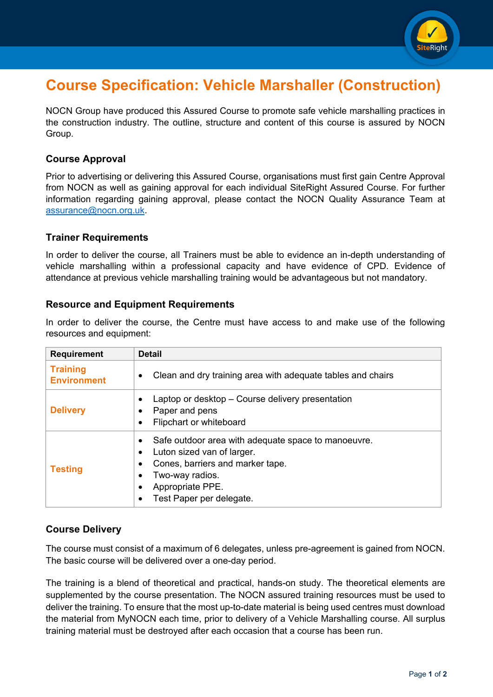

## **Course Specification: Vehicle Marshaller (Construction)**

NOCN Group have produced this Assured Course to promote safe vehicle marshalling practices in the construction industry. The outline, structure and content of this course is assured by NOCN Group.

#### **Course Approval**

Prior to advertising or delivering this Assured Course, organisations must first gain Centre Approval from NOCN as well as gaining approval for each individual SiteRight Assured Course. For further information regarding gaining approval, please contact the NOCN Quality Assurance Team at [assurance@nocn.org.uk.](mailto:assurance@nocn.org.uk)

#### **Trainer Requirements**

In order to deliver the course, all Trainers must be able to evidence an in-depth understanding of vehicle marshalling within a professional capacity and have evidence of CPD. Evidence of attendance at previous vehicle marshalling training would be advantageous but not mandatory.

#### **Resource and Equipment Requirements**

In order to deliver the course, the Centre must have access to and make use of the following resources and equipment:

| <b>Requirement</b>                    | <b>Detail</b>                                                                                                                                                                                                      |
|---------------------------------------|--------------------------------------------------------------------------------------------------------------------------------------------------------------------------------------------------------------------|
| <b>Training</b><br><b>Environment</b> | Clean and dry training area with adequate tables and chairs<br>٠                                                                                                                                                   |
| <b>Delivery</b>                       | Laptop or desktop – Course delivery presentation<br>$\bullet$<br>Paper and pens<br>Flipchart or whiteboard<br>$\bullet$                                                                                            |
| <b>Testing</b>                        | Safe outdoor area with adequate space to manoeuvre.<br>$\bullet$<br>Luton sized van of larger.<br>Cones, barriers and marker tape.<br>Two-way radios.<br>Appropriate PPE.<br>$\bullet$<br>Test Paper per delegate. |

#### **Course Delivery**

The course must consist of a maximum of 6 delegates, unless pre-agreement is gained from NOCN. The basic course will be delivered over a one-day period.

The training is a blend of theoretical and practical, hands-on study. The theoretical elements are supplemented by the course presentation. The NOCN assured training resources must be used to deliver the training. To ensure that the most up-to-date material is being used centres must download the material from MyNOCN each time, prior to delivery of a Vehicle Marshalling course. All surplus training material must be destroyed after each occasion that a course has been run.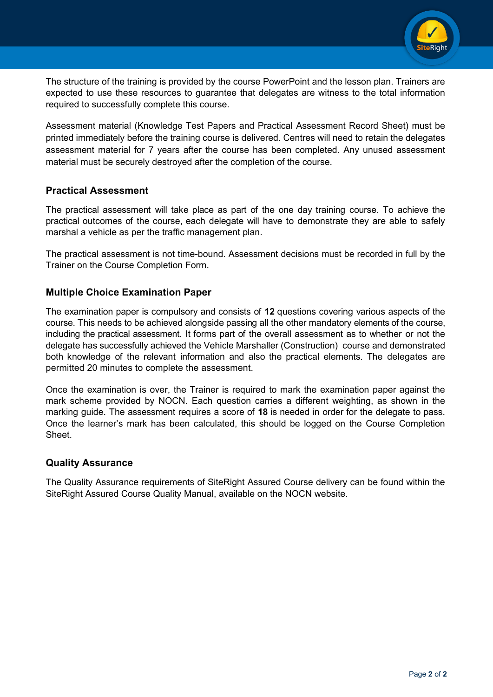

The structure of the training is provided by the course PowerPoint and the lesson plan. Trainers are expected to use these resources to guarantee that delegates are witness to the total information required to successfully complete this course.

Assessment material (Knowledge Test Papers and Practical Assessment Record Sheet) must be printed immediately before the training course is delivered. Centres will need to retain the delegates assessment material for 7 years after the course has been completed. Any unused assessment material must be securely destroyed after the completion of the course.

#### **Practical Assessment**

The practical assessment will take place as part of the one day training course. To achieve the practical outcomes of the course, each delegate will have to demonstrate they are able to safely marshal a vehicle as per the traffic management plan.

The practical assessment is not time-bound. Assessment decisions must be recorded in full by the Trainer on the Course Completion Form.

#### **Multiple Choice Examination Paper**

The examination paper is compulsory and consists of **12** questions covering various aspects of the course. This needs to be achieved alongside passing all the other mandatory elements of the course, including the practical assessment. It forms part of the overall assessment as to whether or not the delegate has successfully achieved the Vehicle Marshaller (Construction) course and demonstrated both knowledge of the relevant information and also the practical elements. The delegates are permitted 20 minutes to complete the assessment.

Once the examination is over, the Trainer is required to mark the examination paper against the mark scheme provided by NOCN. Each question carries a different weighting, as shown in the marking guide. The assessment requires a score of **18** is needed in order for the delegate to pass. Once the learner's mark has been calculated, this should be logged on the Course Completion Sheet.

#### **Quality Assurance**

The Quality Assurance requirements of SiteRight Assured Course delivery can be found within the SiteRight Assured Course Quality Manual, available on the NOCN website.